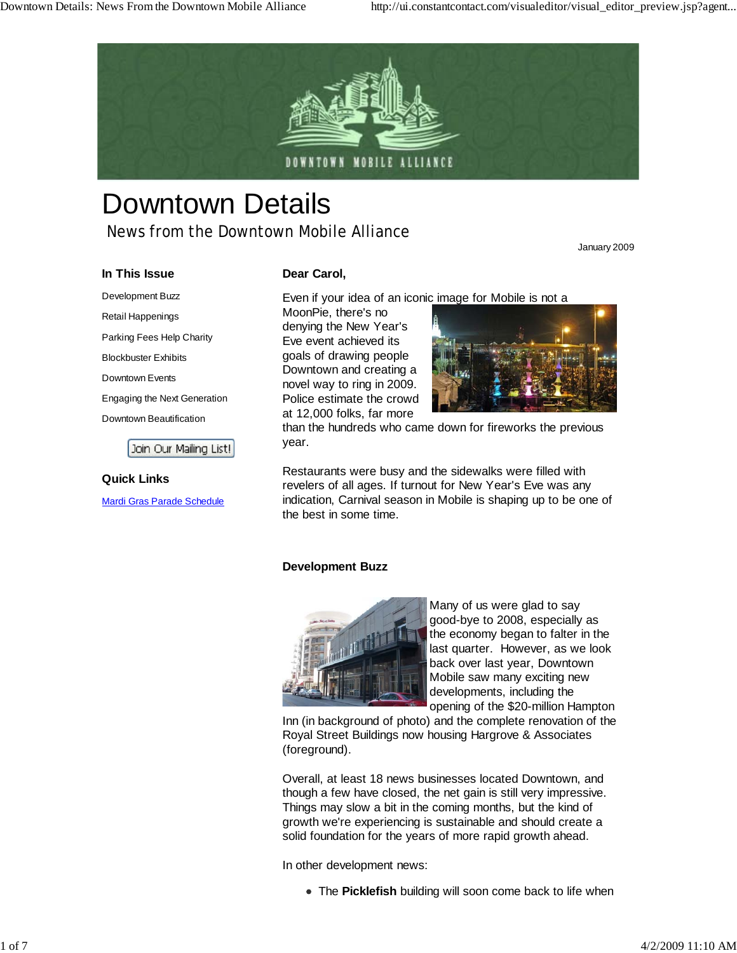

# Downtown Details News from the Downtown Mobile Alliance

January 2009

# **In This Issue** Development Buzz

Retail Happenings

Parking Fees Help Charity Blockbuster Exhibits Downtown Events

Engaging the Next Generation Downtown Beautification

Join Our Mailing List!

## **Dear Carol,**

Even if your idea of an iconic image for Mobile is not a

MoonPie, there's no denying the New Year's Eve event achieved its goals of drawing people Downtown and creating a novel way to ring in 2009. Police estimate the crowd at 12,000 folks, far more



than the hundreds who came down for fireworks the previous year.

Restaurants were busy and the sidewalks were filled with revelers of all ages. If turnout for New Year's Eve was any indication, Carnival season in Mobile is shaping up to be one of the best in some time.

#### **Development Buzz**



Many of us were glad to say good-bye to 2008, especially as the economy began to falter in the last quarter. However, as we look back over last year, Downtown Mobile saw many exciting new developments, including the opening of the \$20-million Hampton

Inn (in background of photo) and the complete renovation of the Royal Street Buildings now housing Hargrove & Associates (foreground).

Overall, at least 18 news businesses located Downtown, and though a few have closed, the net gain is still very impressive. Things may slow a bit in the coming months, but the kind of growth we're experiencing is sustainable and should create a solid foundation for the years of more rapid growth ahead.

In other development news:

The **Picklefish** building will soon come back to life when

**Quick Links**

Mardi Gras Parade Schedule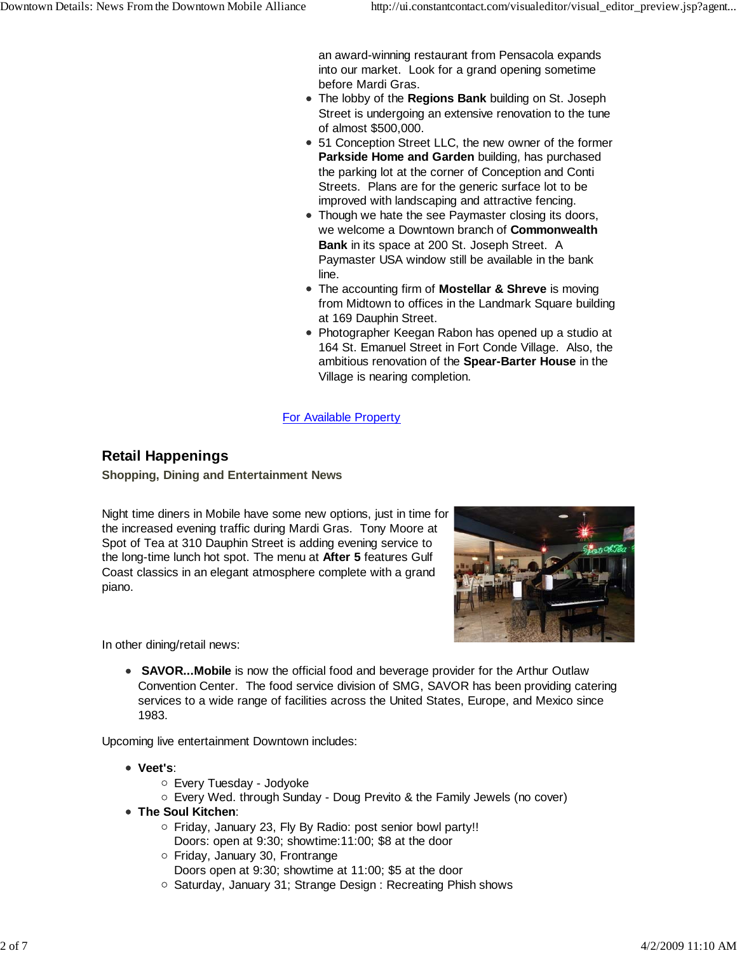an award-winning restaurant from Pensacola expands into our market. Look for a grand opening sometime before Mardi Gras.

- The lobby of the **Regions Bank** building on St. Joseph Street is undergoing an extensive renovation to the tune of almost \$500,000.
- 51 Conception Street LLC, the new owner of the former **Parkside Home and Garden** building, has purchased the parking lot at the corner of Conception and Conti Streets. Plans are for the generic surface lot to be improved with landscaping and attractive fencing.
- Though we hate the see Paymaster closing its doors, we welcome a Downtown branch of **Commonwealth Bank** in its space at 200 St. Joseph Street. A Paymaster USA window still be available in the bank line.
- The accounting firm of **Mostellar & Shreve** is moving from Midtown to offices in the Landmark Square building at 169 Dauphin Street.
- Photographer Keegan Rabon has opened up a studio at 164 St. Emanuel Street in Fort Conde Village. Also, the ambitious renovation of the **Spear-Barter House** in the Village is nearing completion.

## For Available Property

# **Retail Happenings**

**Shopping, Dining and Entertainment News**

Night time diners in Mobile have some new options, just in time for the increased evening traffic during Mardi Gras. Tony Moore at Spot of Tea at 310 Dauphin Street is adding evening service to the long-time lunch hot spot. The menu at **After 5** features Gulf Coast classics in an elegant atmosphere complete with a grand piano.



In other dining/retail news:

**SAVOR...Mobile** is now the official food and beverage provider for the Arthur Outlaw Convention Center. The food service division of SMG, SAVOR has been providing catering services to a wide range of facilities across the United States, Europe, and Mexico since 1983.

Upcoming live entertainment Downtown includes:

- **Veet's**:
	- Every Tuesday Jodyoke
	- Every Wed. through Sunday Doug Previto & the Family Jewels (no cover)
- **The Soul Kitchen**:
	- Friday, January 23, Fly By Radio: post senior bowl party!! Doors: open at 9:30; showtime:11:00; \$8 at the door
	- Friday, January 30, Frontrange
		- Doors open at 9:30; showtime at 11:00; \$5 at the door
	- Saturday, January 31; Strange Design : Recreating Phish shows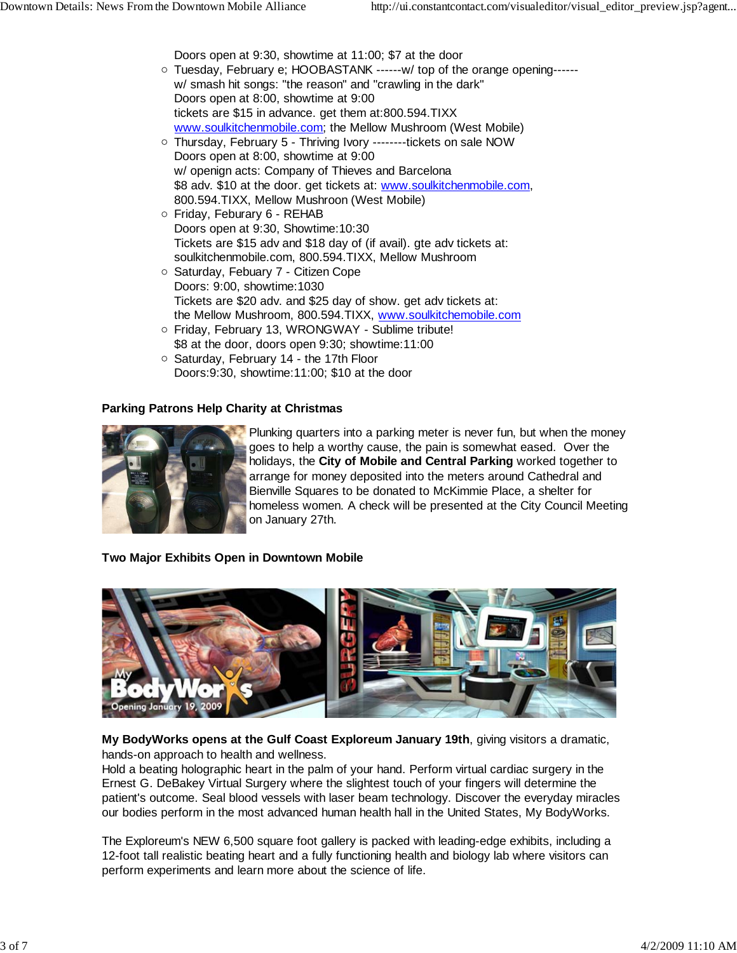| Doors open at 9:30, showtime at 11:00; \$7 at the door                 |
|------------------------------------------------------------------------|
| ○ Tuesday, February e; HOOBASTANK ------ w/ top of the orange opening- |
| w/ smash hit songs: "the reason" and "crawling in the dark"            |
| Doors open at 8:00, showtime at 9:00                                   |
| tickets are \$15 in advance. get them at:800.594.TIXX                  |
| www.soulkitchenmobile.com; the Mellow Mushroom (West Mobile)           |
| ○ Thursday, February 5 - Thriving Ivory --------tickets on sale NOW    |
| Doors open at 8:00, showtime at 9:00                                   |
| w/ openign acts: Company of Thieves and Barcelona                      |
| \$8 adv. \$10 at the door. get tickets at: www.soulkitchenmobile.com,  |
| 800.594.TIXX, Mellow Mushroon (West Mobile)                            |
| $\circ$ Friday, Feburary 6 - REHAB                                     |
| Doors open at 9:30, Showtime: 10:30                                    |
| Tickets are \$15 adv and \$18 day of (if avail). gte adv tickets at:   |
| soulkitchenmobile.com, 800.594.TIXX, Mellow Mushroom                   |
| ○ Saturday, Febuary 7 - Citizen Cope                                   |
| Doors: 9:00, showtime:1030                                             |

- Tickets are \$20 adv. and \$25 day of show. get adv tickets at: the Mellow Mushroom, 800.594.TIXX, www.soulkitchemobile.com
- o Friday, February 13, WRONGWAY Sublime tribute! \$8 at the door, doors open 9:30; showtime:11:00
- o Saturday, February 14 the 17th Floor Doors:9:30, showtime:11:00; \$10 at the door

## **Parking Patrons Help Charity at Christmas**



Plunking quarters into a parking meter is never fun, but when the money goes to help a worthy cause, the pain is somewhat eased. Over the holidays, the **City of Mobile and Central Parking** worked together to arrange for money deposited into the meters around Cathedral and Bienville Squares to be donated to McKimmie Place, a shelter for homeless women. A check will be presented at the City Council Meeting on January 27th.

**Two Major Exhibits Open in Downtown Mobile**



**My BodyWorks opens at the Gulf Coast Exploreum January 19th**, giving visitors a dramatic, hands-on approach to health and wellness.

Hold a beating holographic heart in the palm of your hand. Perform virtual cardiac surgery in the Ernest G. DeBakey Virtual Surgery where the slightest touch of your fingers will determine the patient's outcome. Seal blood vessels with laser beam technology. Discover the everyday miracles our bodies perform in the most advanced human health hall in the United States, My BodyWorks.

The Exploreum's NEW 6,500 square foot gallery is packed with leading-edge exhibits, including a 12-foot tall realistic beating heart and a fully functioning health and biology lab where visitors can perform experiments and learn more about the science of life.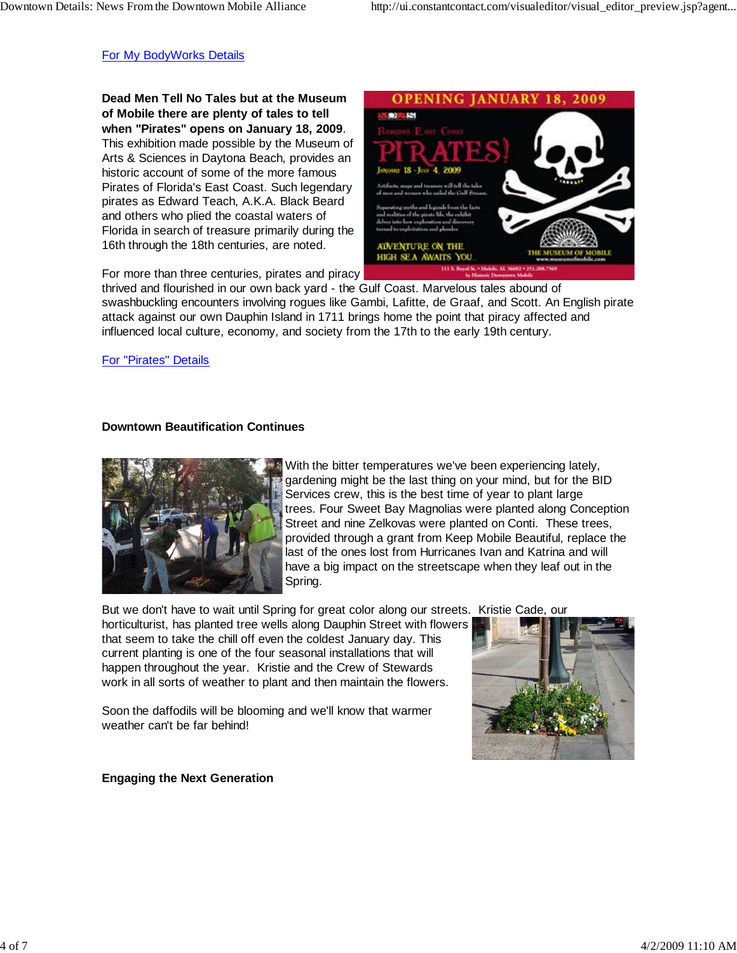#### For My BodyWorks Details

**Dead Men Tell No Tales but at the Museum of Mobile there are plenty of tales to tell when "Pirates" opens on January 18, 2009**. This exhibition made possible by the Museum of Arts & Sciences in Daytona Beach, provides an historic account of some of the more famous Pirates of Florida's East Coast. Such legendary pirates as Edward Teach, A.K.A. Black Beard and others who plied the coastal waters of Florida in search of treasure primarily during the 16th through the 18th centuries, are noted.



For more than three centuries, pirates and piracy

thrived and flourished in our own back yard - the Gulf Coast. Marvelous tales abound of swashbuckling encounters involving rogues like Gambi, Lafitte, de Graaf, and Scott. An English pirate attack against our own Dauphin Island in 1711 brings home the point that piracy affected and influenced local culture, economy, and society from the 17th to the early 19th century.

#### For "Pirates" Details

#### **Downtown Beautification Continues**



With the bitter temperatures we've been experiencing lately, gardening might be the last thing on your mind, but for the BID Services crew, this is the best time of year to plant large trees. Four Sweet Bay Magnolias were planted along Conception Street and nine Zelkovas were planted on Conti. These trees, provided through a grant from Keep Mobile Beautiful, replace the last of the ones lost from Hurricanes Ivan and Katrina and will have a big impact on the streetscape when they leaf out in the Spring.

But we don't have to wait until Spring for great color along our streets. Kristie Cade, our

horticulturist, has planted tree wells along Dauphin Street with flowers that seem to take the chill off even the coldest January day. This current planting is one of the four seasonal installations that will happen throughout the year. Kristie and the Crew of Stewards work in all sorts of weather to plant and then maintain the flowers.

Soon the daffodils will be blooming and we'll know that warmer weather can't be far behind!

#### **Engaging the Next Generation**

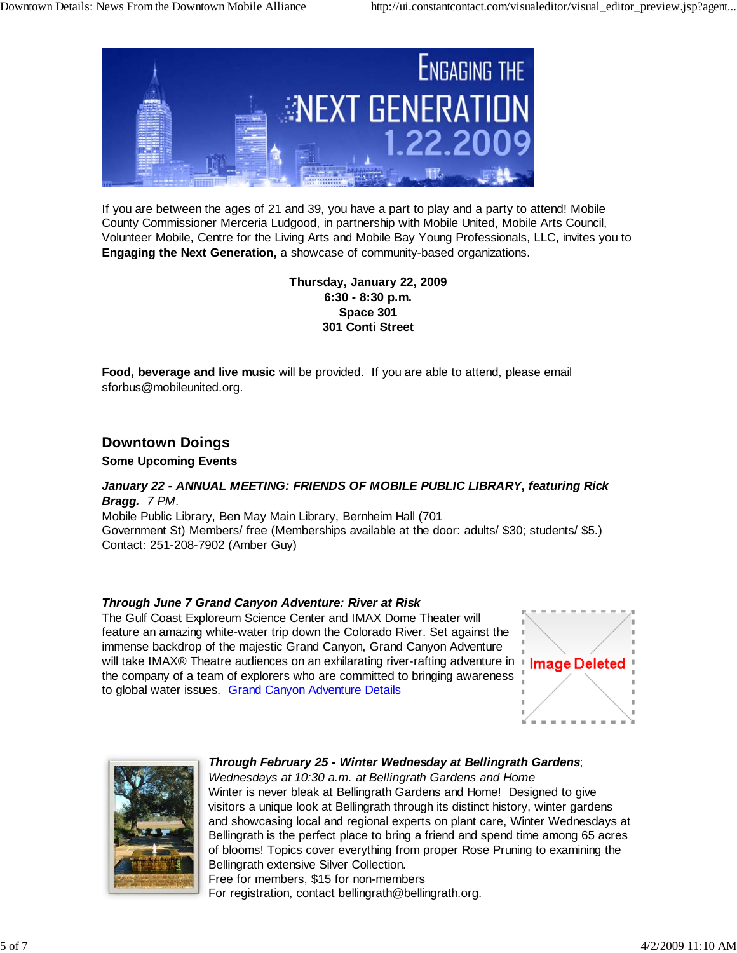

If you are between the ages of 21 and 39, you have a part to play and a party to attend! Mobile County Commissioner Merceria Ludgood, in partnership with Mobile United, Mobile Arts Council, Volunteer Mobile, Centre for the Living Arts and Mobile Bay Young Professionals, LLC, invites you to **Engaging the Next Generation,** a showcase of community-based organizations.

> **Thursday, January 22, 2009 6:30 - 8:30 p.m. Space 301 301 Conti Street**

**Food, beverage and live music** will be provided. If you are able to attend, please email sforbus@mobileunited.org.

# **Downtown Doings**

**Some Upcoming Events** 

## *January 22 - ANNUAL MEETING: FRIENDS OF MOBILE PUBLIC LIBRARY***,** *featuring Rick Bragg.**7 PM*.

Mobile Public Library, Ben May Main Library, Bernheim Hall (701 Government St) Members/ free (Memberships available at the door: adults/ \$30; students/ \$5.) Contact: 251-208-7902 (Amber Guy)

## *Through June 7 Grand Canyon Adventure: River at Risk*

The Gulf Coast Exploreum Science Center and IMAX Dome Theater will feature an amazing white-water trip down the Colorado River. Set against the immense backdrop of the majestic Grand Canyon, Grand Canyon Adventure will take IMAX® Theatre audiences on an exhilarating river-rafting adventure in the company of a team of explorers who are committed to bringing awareness to global water issues. Grand Canyon Adventure Details





## *Through February 25 - Winter Wednesday at Bellingrath Gardens*;

*Wednesdays at 10:30 a.m. at Bellingrath Gardens and Home* Winter is never bleak at Bellingrath Gardens and Home! Designed to give visitors a unique look at Bellingrath through its distinct history, winter gardens and showcasing local and regional experts on plant care, Winter Wednesdays at Bellingrath is the perfect place to bring a friend and spend time among 65 acres of blooms! Topics cover everything from proper Rose Pruning to examining the Bellingrath extensive Silver Collection. Free for members, \$15 for non-members

For registration, contact bellingrath@bellingrath.org.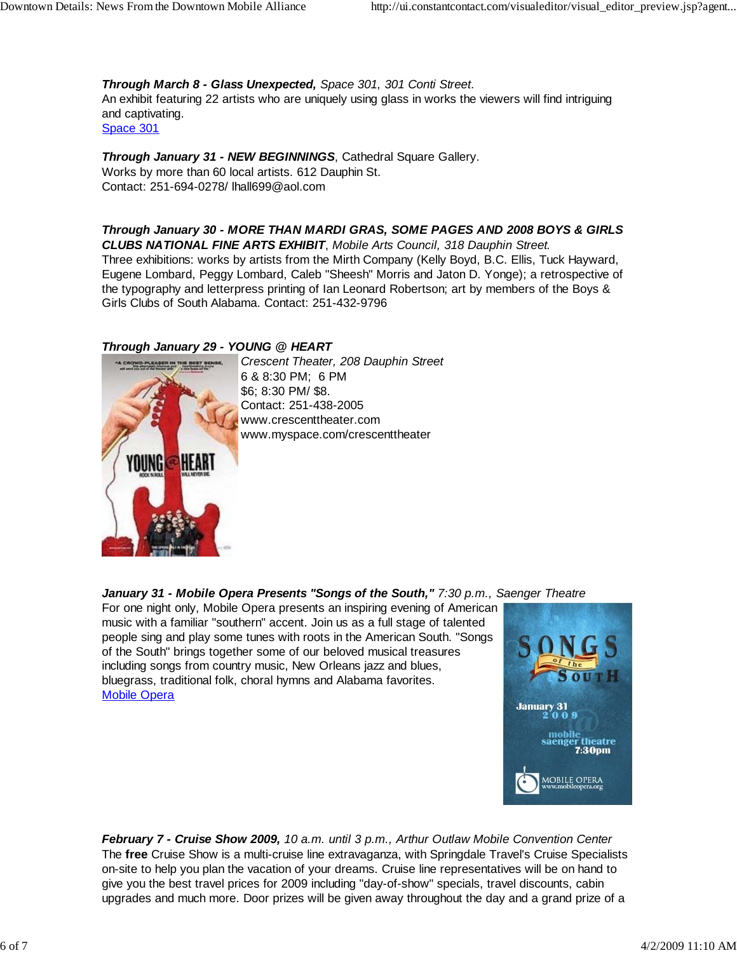*Through March 8 - Glass Unexpected, Space 301, 301 Conti Street*. An exhibit featuring 22 artists who are uniquely using glass in works the viewers will find intriguing and captivating. Space 301

*Through January 31 - NEW BEGINNINGS*, Cathedral Square Gallery. Works by more than 60 local artists. 612 Dauphin St. Contact: 251-694-0278/ lhall699@aol.com

## *Through January 30 - MORE THAN MARDI GRAS, SOME PAGES AND 2008 BOYS & GIRLS CLUBS NATIONAL FINE ARTS EXHIBIT*, *Mobile Arts Council, 318 Dauphin Street.*

Three exhibitions: works by artists from the Mirth Company (Kelly Boyd, B.C. Ellis, Tuck Hayward, Eugene Lombard, Peggy Lombard, Caleb "Sheesh" Morris and Jaton D. Yonge); a retrospective of the typography and letterpress printing of Ian Leonard Robertson; art by members of the Boys & Girls Clubs of South Alabama. Contact: 251-432-9796

## *Through January 29 - YOUNG @ HEART*



*Crescent Theater, 208 Dauphin Street* 6 & 8:30 PM; 6 PM \$6; 8:30 PM/ \$8. Contact: 251-438-2005 www.crescenttheater.com www.myspace.com/crescenttheater

## *January 31 - Mobile Opera Presents "Songs of the South," 7:30 p.m., Saenger Theatre*

For one night only, Mobile Opera presents an inspiring evening of American music with a familiar "southern" accent. Join us as a full stage of talented people sing and play some tunes with roots in the American South. "Songs of the South" brings together some of our beloved musical treasures including songs from country music, New Orleans jazz and blues, bluegrass, traditional folk, choral hymns and Alabama favorites. Mobile Opera



*February 7 - Cruise Show 2009, 10 a.m. until 3 p.m., Arthur Outlaw Mobile Convention Center* The **free** Cruise Show is a multi-cruise line extravaganza, with Springdale Travel's Cruise Specialists on-site to help you plan the vacation of your dreams. Cruise line representatives will be on hand to give you the best travel prices for 2009 including "day-of-show" specials, travel discounts, cabin upgrades and much more. Door prizes will be given away throughout the day and a grand prize of a